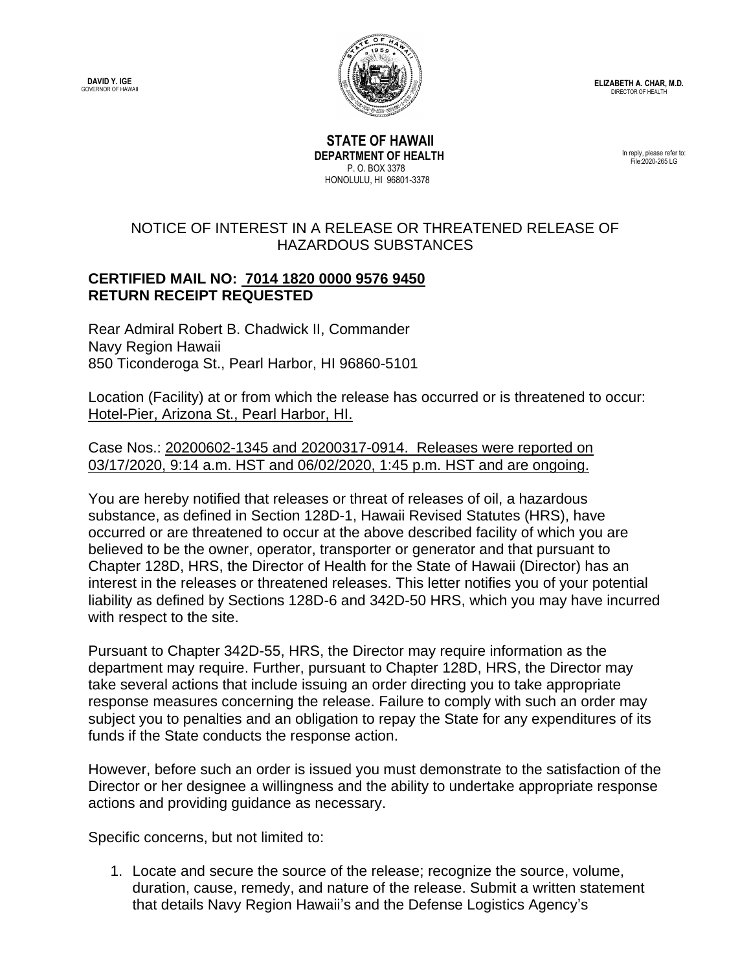**DAVID Y. IGE** GOVERNOR OF HAWAII



**ELIZABETH A. CHAR, M.D.** DIRECTOR OF HEALTH

 **STATE OF HAWAII DEPARTMENT OF HEALTH** P. O. BOX 3378 HONOLULU, HI 96801-3378

In reply, please refer to: File:2020-265 LG

## NOTICE OF INTEREST IN A RELEASE OR THREATENED RELEASE OF HAZARDOUS SUBSTANCES

## **CERTIFIED MAIL NO: 7014 1820 0000 9576 9450 RETURN RECEIPT REQUESTED**

Rear Admiral Robert B. Chadwick II, Commander Navy Region Hawaii 850 Ticonderoga St., Pearl Harbor, HI 96860-5101

Location (Facility) at or from which the release has occurred or is threatened to occur: Hotel-Pier, Arizona St., Pearl Harbor, HI.

Case Nos.: 20200602-1345 and 20200317-0914. Releases were reported on 03/17/2020, 9:14 a.m. HST and 06/02/2020, 1:45 p.m. HST and are ongoing.

You are hereby notified that releases or threat of releases of oil, a hazardous substance, as defined in Section 128D-1, Hawaii Revised Statutes (HRS), have occurred or are threatened to occur at the above described facility of which you are believed to be the owner, operator, transporter or generator and that pursuant to Chapter 128D, HRS, the Director of Health for the State of Hawaii (Director) has an interest in the releases or threatened releases. This letter notifies you of your potential liability as defined by Sections 128D-6 and 342D-50 HRS, which you may have incurred with respect to the site.

Pursuant to Chapter 342D-55, HRS, the Director may require information as the department may require. Further, pursuant to Chapter 128D, HRS, the Director may take several actions that include issuing an order directing you to take appropriate response measures concerning the release. Failure to comply with such an order may subject you to penalties and an obligation to repay the State for any expenditures of its funds if the State conducts the response action.

However, before such an order is issued you must demonstrate to the satisfaction of the Director or her designee a willingness and the ability to undertake appropriate response actions and providing guidance as necessary.

Specific concerns, but not limited to:

1. Locate and secure the source of the release; recognize the source, volume, duration, cause, remedy, and nature of the release. Submit a written statement that details Navy Region Hawaii's and the Defense Logistics Agency's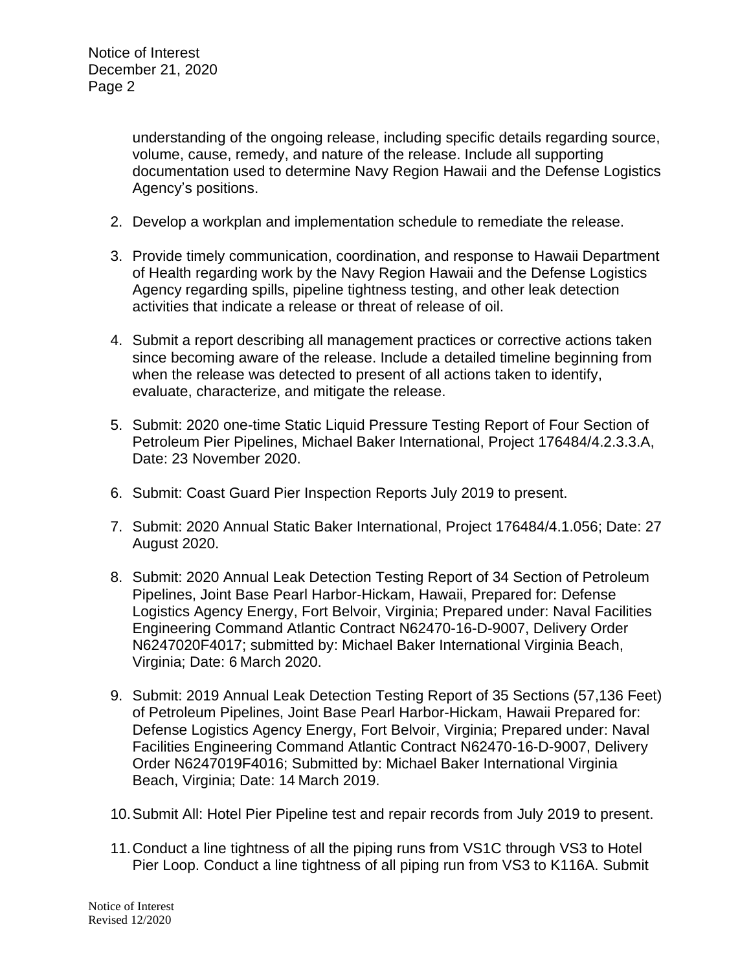understanding of the ongoing release, including specific details regarding source, volume, cause, remedy, and nature of the release. Include all supporting documentation used to determine Navy Region Hawaii and the Defense Logistics Agency's positions.

- 2. Develop a workplan and implementation schedule to remediate the release.
- 3. Provide timely communication, coordination, and response to Hawaii Department of Health regarding work by the Navy Region Hawaii and the Defense Logistics Agency regarding spills, pipeline tightness testing, and other leak detection activities that indicate a release or threat of release of oil.
- 4. Submit a report describing all management practices or corrective actions taken since becoming aware of the release. Include a detailed timeline beginning from when the release was detected to present of all actions taken to identify, evaluate, characterize, and mitigate the release.
- 5. Submit: 2020 one-time Static Liquid Pressure Testing Report of Four Section of Petroleum Pier Pipelines, Michael Baker International, Project 176484/4.2.3.3.A, Date: 23 November 2020.
- 6. Submit: Coast Guard Pier Inspection Reports July 2019 to present.
- 7. Submit: 2020 Annual Static Baker International, Project 176484/4.1.056; Date: 27 August 2020.
- 8. Submit: 2020 Annual Leak Detection Testing Report of 34 Section of Petroleum Pipelines, Joint Base Pearl Harbor-Hickam, Hawaii, Prepared for: Defense Logistics Agency Energy, Fort Belvoir, Virginia; Prepared under: Naval Facilities Engineering Command Atlantic Contract N62470-16-D-9007, Delivery Order N6247020F4017; submitted by: Michael Baker International Virginia Beach, Virginia; Date: 6 March 2020.
- 9. Submit: 2019 Annual Leak Detection Testing Report of 35 Sections (57,136 Feet) of Petroleum Pipelines, Joint Base Pearl Harbor-Hickam, Hawaii Prepared for: Defense Logistics Agency Energy, Fort Belvoir, Virginia; Prepared under: Naval Facilities Engineering Command Atlantic Contract N62470-16-D-9007, Delivery Order N6247019F4016; Submitted by: Michael Baker International Virginia Beach, Virginia; Date: 14 March 2019.
- 10.Submit All: Hotel Pier Pipeline test and repair records from July 2019 to present.
- 11.Conduct a line tightness of all the piping runs from VS1C through VS3 to Hotel Pier Loop. Conduct a line tightness of all piping run from VS3 to K116A. Submit